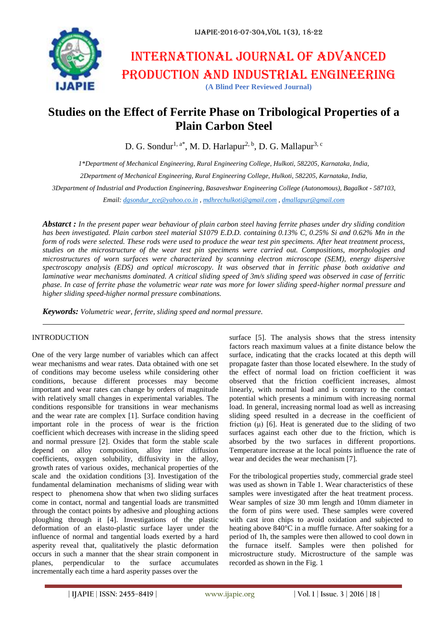

# International journal of advanced production and industrial engineering **(A Blind Peer Reviewed Journal)**

# **Studies on the Effect of Ferrite Phase on Tribological Properties of a Plain Carbon Steel**

D. G. Sondur<sup>1, a\*</sup>, M. D. Harlapur<sup>2, b</sup>, D. G. Mallapur<sup>3, c</sup>

*1\*Department of Mechanical Engineering, Rural Engineering College, Hulkoti, 582205, Karnataka, India,*

*2Department of Mechanical Engineering, Rural Engineering College, Hulkoti, 582205, Karnataka, India,*

*3Department of Industrial and Production Engineering, Basaveshwar Engineering College (Autonomous), Bagalkot - 587103,* 

*Email: [dgsondur\\_tce@yahoo.co.in](mailto:dgsondur_tce@yahoo.co.in) , [mdhrechulkoti@gmail.com](mailto:mdhrechulkoti@gmail.com) , [dmallapur@gmail.com](mailto:dmallapur@gmail.com)*

*Abstarct : In the present paper wear behaviour of plain carbon steel having ferrite phases under dry sliding condition has been investigated. Plain carbon steel material S1079 E.D.D. containing 0.13% C, 0.25% Si and 0.62% Mn in the form of rods were selected. These rods were used to produce the wear test pin specimens. After heat treatment process, studies on the microstructure of the wear test pin specimens were carried out. Compositions, morphologies and microstructures of worn surfaces were characterized by scanning electron microscope (SEM), energy dispersive spectroscopy analysis (EDS) and optical microscopy. It was observed that in ferritic phase both oxidative and laminative wear mechanisms dominated. A critical sliding speed of 3m/s sliding speed was observed in case of ferritic phase. In case of ferrite phase the volumetric wear rate was more for lower sliding speed-higher normal pressure and higher sliding speed-higher normal pressure combinations.*

*Keywords: Volumetric wear, ferrite, sliding speed and normal pressure.*

#### INTRODUCTION

One of the very large number of variables which can affect wear mechanisms and wear rates. Data obtained with one set of conditions may become useless while considering other conditions, because different processes may become important and wear rates can change by orders of magnitude with relatively small changes in experimental variables. The conditions responsible for transitions in wear mechanisms and the wear rate are complex [1]. Surface condition having important role in the process of wear is the friction coefficient which decreases with increase in the sliding speed and normal pressure [2]. Oxides that form the stable scale depend on alloy composition, alloy inter diffusion coefficients, oxygen solubility, diffusivity in the alloy, growth rates of various oxides, mechanical properties of the scale and the oxidation conditions [3]. Investigation of the fundamental delamination mechanisms of sliding wear with respect to phenomena show that when two sliding surfaces come in contact, normal and tangential loads are transmitted through the contact points by adhesive and ploughing actions ploughing through it [4]. Investigations of the plastic deformation of an elasto-plastic surface layer under the influence of normal and tangential loads exerted by a hard asperity reveal that, qualitatively the plastic deformation occurs in such a manner that the shear strain component in planes, perpendicular to the surface accumulates incrementally each time a hard asperity passes over the

surface [5]. The analysis shows that the stress intensity factors reach maximum values at a finite distance below the surface, indicating that the cracks located at this depth will propagate faster than those located elsewhere. In the study of the effect of normal load on friction coefficient it was observed that the friction coefficient increases, almost linearly, with normal load and is contrary to the contact potential which presents a minimum with increasing normal load. In general, increasing normal load as well as increasing sliding speed resulted in a decrease in the coefficient of friction  $(\mu)$  [6]. Heat is generated due to the sliding of two surfaces against each other due to the friction, which is absorbed by the two surfaces in different proportions. Temperature increase at the local points influence the rate of wear and decides the wear mechanism [7].

For the tribological properties study, commercial grade steel was used as shown in Table 1. Wear characteristics of these samples were investigated after the heat treatment process. Wear samples of size 30 mm length and 10mm diameter in the form of pins were used. These samples were covered with cast iron chips to avoid oxidation and subjected to heating above 840°C in a muffle furnace. After soaking for a period of 1h, the samples were then allowed to cool down in the furnace itself. Samples were then polished for microstructure study. Microstructure of the sample was recorded as shown in the Fig. 1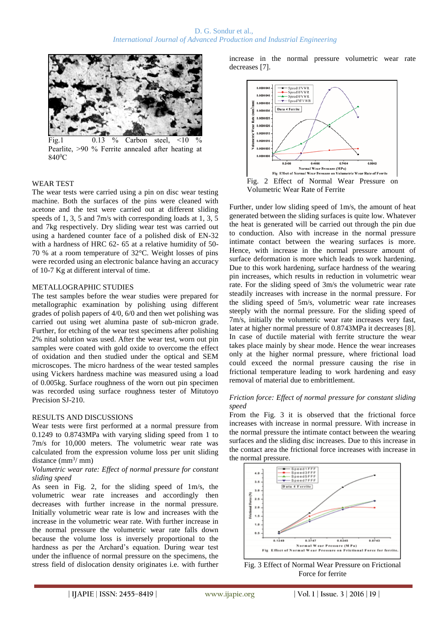

Fig.1 0.13 % Carbon steel,  $\lt 10$  % Pearlite, >90 % Ferrite annealed after heating at 840<sup>0</sup>C

#### WEAR TEST

The wear tests were carried using a pin on disc wear testing machine. Both the surfaces of the pins were cleaned with acetone and the test were carried out at different sliding speeds of 1, 3, 5 and 7m/s with corresponding loads at 1, 3, 5 and 7kg respectively. Dry sliding wear test was carried out using a hardened counter face of a polished disk of EN-32 with a hardness of HRC 62- 65 at a relative humidity of 50- 70 % at a room temperature of 32°C. Weight losses of pins were recorded using an electronic balance having an accuracy of 10-7 Kg at different interval of time.

#### METALLOGRAPHIC STUDIES

The test samples before the wear studies were prepared for metallographic examination by polishing using different grades of polish papers of 4/0, 6/0 and then wet polishing was carried out using wet alumina paste of sub-micron grade. Further, for etching of the wear test specimens after polishing 2% nital solution was used. After the wear test, worn out pin samples were coated with gold oxide to overcome the effect of oxidation and then studied under the optical and SEM microscopes. The micro hardness of the wear tested samples using Vickers hardness machine was measured using a load of 0.005kg. Surface roughness of the worn out pin specimen was recorded using surface roughness tester of Mitutoyo Precision SJ-210.

#### RESULTS AND DISCUSSIONS

Wear tests were first performed at a normal pressure from 0.1249 to 0.8743MPa with varying sliding speed from 1 to 7m/s for 10,000 meters. The volumetric wear rate was calculated from the expression volume loss per unit sliding distance  $\text{(mm}^3/\text{mm})$ 

#### *Volumetric wear rate: Effect of normal pressure for constant sliding speed*

As seen in Fig. 2, for the sliding speed of 1m/s, the volumetric wear rate increases and accordingly then decreases with further increase in the normal pressure. Initially volumetric wear rate is low and increases with the increase in the volumetric wear rate. With further increase in the normal pressure the volumetric wear rate falls down because the volume loss is inversely proportional to the hardness as per the Archard's equation. During wear test under the influence of normal pressure on the specimens, the stress field of dislocation density originates i.e. with further increase in the normal pressure volumetric wear rate decreases [7].



Volumetric Wear Rate of Ferrite

Further, under low sliding speed of 1m/s, the amount of heat generated between the sliding surfaces is quite low. Whatever the heat is generated will be carried out through the pin due to conduction. Also with increase in the normal pressure intimate contact between the wearing surfaces is more. Hence, with increase in the normal pressure amount of surface deformation is more which leads to work hardening. Due to this work hardening, surface hardness of the wearing pin increases, which results in reduction in volumetric wear rate. For the sliding speed of 3m/s the volumetric wear rate steadily increases with increase in the normal pressure. For the sliding speed of 5m/s, volumetric wear rate increases steeply with the normal pressure. For the sliding speed of 7m/s, initially the volumetric wear rate increases very fast, later at higher normal pressure of 0.8743MPa it decreases [8]. In case of ductile material with ferrite structure the wear takes place mainly by shear mode. Hence the wear increases only at the higher normal pressure, where frictional load could exceed the normal pressure causing the rise in frictional temperature leading to work hardening and easy removal of material due to embrittlement.

#### *Friction force: Effect of normal pressure for constant sliding speed*

From the Fig. 3 it is observed that the frictional force increases with increase in normal pressure. With increase in the normal pressure the intimate contact between the wearing surfaces and the sliding disc increases. Due to this increase in the contact area the frictional force increases with increase in the normal pressure.



Fig. 3 Effect of Normal Wear Pressure on Frictional Force for ferrite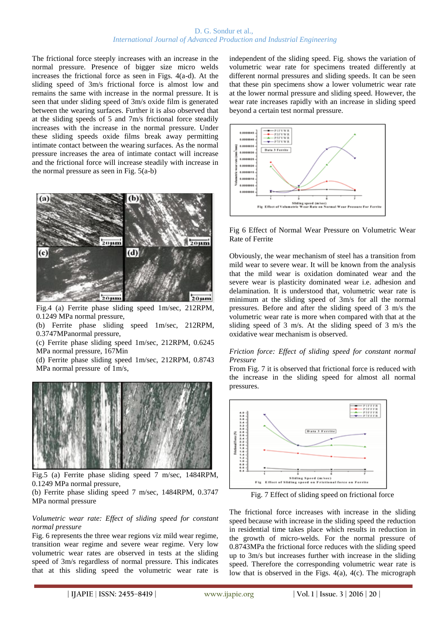#### D. G. Sondur et al., *International Journal of Advanced Production and Industrial Engineering*

The frictional force steeply increases with an increase in the normal pressure. Presence of bigger size micro welds increases the frictional force as seen in Figs. 4(a-d). At the sliding speed of 3m/s frictional force is almost low and remains the same with increase in the normal pressure. It is seen that under sliding speed of 3m/s oxide film is generated between the wearing surfaces. Further it is also observed that at the sliding speeds of 5 and 7m/s frictional force steadily increases with the increase in the normal pressure. Under these sliding speeds oxide films break away permitting intimate contact between the wearing surfaces. As the normal pressure increases the area of intimate contact will increase and the frictional force will increase steadily with increase in the normal pressure as seen in Fig. 5(a-b)



Fig.4 (a) Ferrite phase sliding speed 1m/sec, 212RPM, 0.1249 MPa normal pressure,

(b) Ferrite phase sliding speed 1m/sec, 212RPM, 0.3747MPanormal pressure,

(c) Ferrite phase sliding speed 1m/sec, 212RPM, 0.6245 MPa normal pressure, 167Min

(d) Ferrite phase sliding speed 1m/sec, 212RPM, 0.8743 MPa normal pressure of 1m/s,



Fig.5 (a) Ferrite phase sliding speed 7 m/sec, 1484RPM, 0.1249 MPa normal pressure,

(b) Ferrite phase sliding speed 7 m/sec, 1484RPM, 0.3747 MPa normal pressure

#### *Volumetric wear rate: Effect of sliding speed for constant normal pressure*

Fig. 6 represents the three wear regions viz mild wear regime, transition wear regime and severe wear regime. Very low volumetric wear rates are observed in tests at the sliding speed of 3m/s regardless of normal pressure. This indicates that at this sliding speed the volumetric wear rate is independent of the sliding speed. Fig. shows the variation of volumetric wear rate for specimens treated differently at different normal pressures and sliding speeds. It can be seen that these pin specimens show a lower volumetric wear rate at the lower normal pressure and sliding speed. However, the wear rate increases rapidly with an increase in sliding speed beyond a certain test normal pressure.



Fig 6 Effect of Normal Wear Pressure on Volumetric Wear Rate of Ferrite

Obviously, the wear mechanism of steel has a transition from mild wear to severe wear. It will be known from the analysis that the mild wear is oxidation dominated wear and the severe wear is plasticity dominated wear i.e. adhesion and delamination. It is understood that, volumetric wear rate is minimum at the sliding speed of 3m/s for all the normal pressures. Before and after the sliding speed of 3 m/s the volumetric wear rate is more when compared with that at the sliding speed of 3 m/s. At the sliding speed of 3 m/s the oxidative wear mechanism is observed.

#### *Friction force: Effect of sliding speed for constant normal Pressure*

From Fig. 7 it is observed that frictional force is reduced with the increase in the sliding speed for almost all normal pressures.



Fig. 7 Effect of sliding speed on frictional force

The frictional force increases with increase in the sliding speed because with increase in the sliding speed the reduction in residential time takes place which results in reduction in the growth of micro-welds. For the normal pressure of 0.8743MPa the frictional force reduces with the sliding speed up to 3m/s but increases further with increase in the sliding speed. Therefore the corresponding volumetric wear rate is low that is observed in the Figs.  $4(a)$ ,  $4(c)$ . The micrograph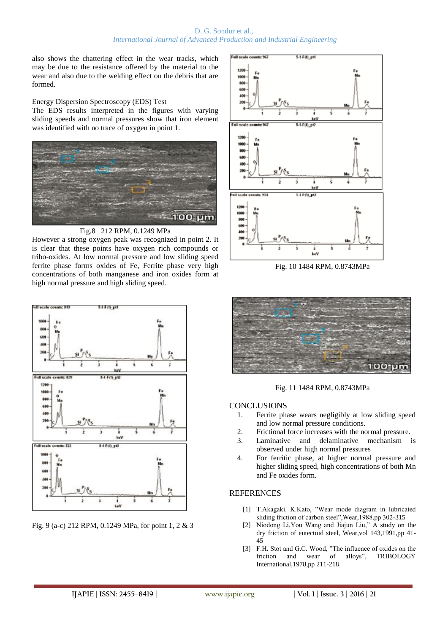#### D. G. Sondur et al., *International Journal of Advanced Production and Industrial Engineering*

also shows the chattering effect in the wear tracks, which may be due to the resistance offered by the material to the wear and also due to the welding effect on the debris that are formed.

Energy Dispersion Spectroscopy (EDS) Test

The EDS results interpreted in the figures with varying sliding speeds and normal pressures show that iron element was identified with no trace of oxygen in point 1.



Fig.8 212 RPM, 0.1249 MPa

However a strong oxygen peak was recognized in point 2. It is clear that these points have oxygen rich compounds or tribo-oxides. At low normal pressure and low sliding speed ferrite phase forms oxides of Fe, Ferrite phase very high concentrations of both manganese and iron oxides form at high normal pressure and high sliding speed.



Fig. 9 (a-c) 212 RPM, 0.1249 MPa, for point 1, 2 & 3



Fig. 10 1484 RPM, 0.8743MPa



Fig. 11 1484 RPM, 0.8743MPa

### **CONCLUSIONS**

- 1. Ferrite phase wears negligibly at low sliding speed and low normal pressure conditions.
- 2. Frictional force increases with the normal pressure.
- 3. Laminative and delaminative mechanism is observed under high normal pressures
- 4. For ferritic phase, at higher normal pressure and higher sliding speed, high concentrations of both Mn and Fe oxides form.

## **REFERENCES**

- [1] T.Akagaki. K.Kato, "Wear mode diagram in lubricated sliding friction of carbon steel",Wear,1988,pp 302-315
- [2] Niodong Li,You Wang and Jiajun Liu," A study on the dry friction of eutectoid steel, Wear,vol 143,1991,pp 41- 45
- [3] F.H. Stot and G.C. Wood, "The influence of oxides on the friction and wear of alloys", TRIBOLOGY International,1978,pp 211-218